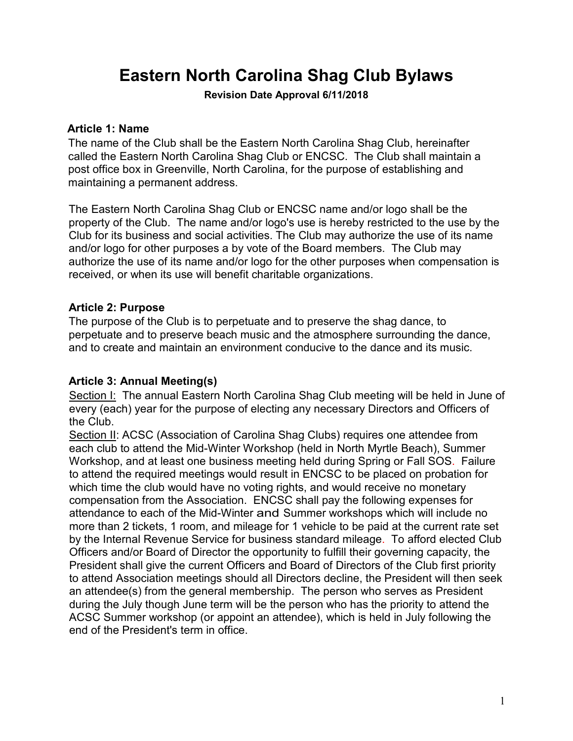# **Eastern North Carolina Shag Club Bylaws**

**Revision Date Approval 6/11/2018**

## **Article 1: Name**

The name of the Club shall be the Eastern North Carolina Shag Club, hereinafter called the Eastern North Carolina Shag Club or ENCSC. The Club shall maintain a post office box in Greenville, North Carolina, for the purpose of establishing and maintaining a permanent address.

The Eastern North Carolina Shag Club or ENCSC name and/or logo shall be the property of the Club. The name and/or logo's use is hereby restricted to the use by the Club for its business and social activities. The Club may authorize the use of its name and/or logo for other purposes a by vote of the Board members. The Club may authorize the use of its name and/or logo for the other purposes when compensation is received, or when its use will benefit charitable organizations.

# **Article 2: Purpose**

The purpose of the Club is to perpetuate and to preserve the shag dance, to perpetuate and to preserve beach music and the atmosphere surrounding the dance, and to create and maintain an environment conducive to the dance and its music.

# **Article 3: Annual Meeting(s)**

Section I: The annual Eastern North Carolina Shag Club meeting will be held in June of every (each) year for the purpose of electing any necessary Directors and Officers of the Club.

Section II: ACSC (Association of Carolina Shag Clubs) requires one attendee from each club to attend the Mid-Winter Workshop (held in North Myrtle Beach), Summer Workshop, and at least one business meeting held during Spring or Fall SOS. Failure to attend the required meetings would result in ENCSC to be placed on probation for which time the club would have no voting rights, and would receive no monetary compensation from the Association. ENCSC shall pay the following expenses for attendance to each of the Mid-Winter and Summer workshops which will include no more than 2 tickets, 1 room, and mileage for 1 vehicle to be paid at the current rate set by the Internal Revenue Service for business standard mileage. To afford elected Club Officers and/or Board of Director the opportunity to fulfill their governing capacity, the President shall give the current Officers and Board of Directors of the Club first priority to attend Association meetings should all Directors decline, the President will then seek an attendee(s) from the general membership. The person who serves as President during the July though June term will be the person who has the priority to attend the ACSC Summer workshop (or appoint an attendee), which is held in July following the end of the President's term in office.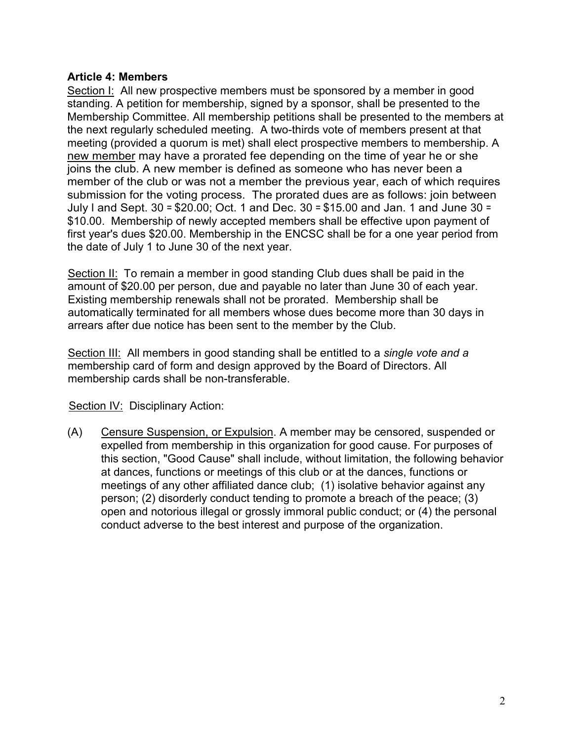## **Article 4: Members**

Section I: All new prospective members must be sponsored by a member in good standing. A petition for membership, signed by a sponsor, shall be presented to the Membership Committee. All membership petitions shall be presented to the members at the next regularly scheduled meeting. A two-thirds vote of members present at that meeting (provided a quorum is met) shall elect prospective members to membership. A new member may have a prorated fee depending on the time of year he or she joins the club. A new member is defined as someone who has never been a member of the club or was not a member the previous year, each of which requires submission for the voting process. The prorated dues are as follows: join between July l and Sept. 30 = \$20.00; Oct. 1 and Dec. 30 = \$15.00 and Jan. 1 and June 30 = \$10.00. Membership of newly accepted members shall be effective upon payment of first year's dues \$20.00. Membership in the ENCSC shall be for a one year period from the date of July 1 to June 30 of the next year.

Section II: To remain a member in good standing Club dues shall be paid in the amount of \$20.00 per person, due and payable no later than June 30 of each year. Existing membership renewals shall not be prorated. Membership shall be automatically terminated for all members whose dues become more than 30 days in arrears after due notice has been sent to the member by the Club.

Section III: All members in good standing shall be entitled to a *single vote and a* membership card of form and design approved by the Board of Directors. All membership cards shall be non-transferable.

Section IV: Disciplinary Action:

(A) Censure Suspension, or Expulsion. A member may be censored, suspended or expelled from membership in this organization for good cause. For purposes of this section, "Good Cause" shall include, without limitation, the following behavior at dances, functions or meetings of this club or at the dances, functions or meetings of any other affiliated dance club; (1) isolative behavior against any person; (2) disorderly conduct tending to promote a breach of the peace; (3) open and notorious illegal or grossly immoral public conduct; or (4) the personal conduct adverse to the best interest and purpose of the organization.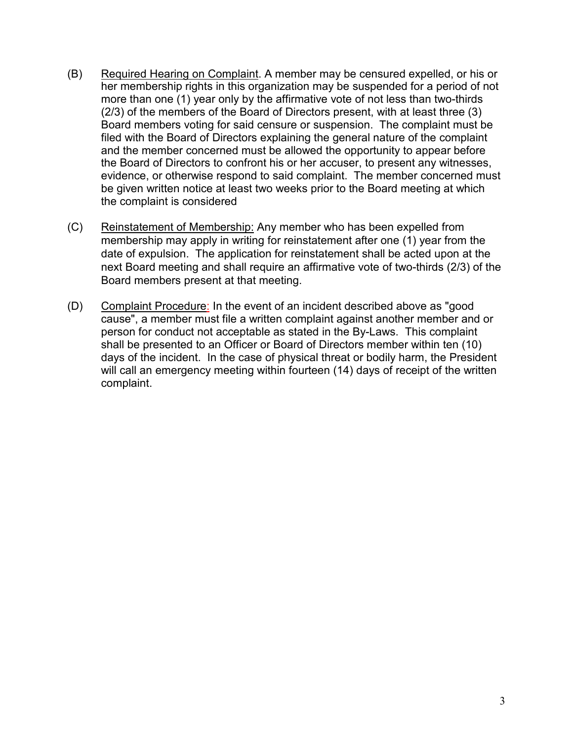- (B) Required Hearing on Complaint. A member may be censured expelled, or his or her membership rights in this organization may be suspended for a period of not more than one (1) year only by the affirmative vote of not less than two-thirds (2/3) of the members of the Board of Directors present, with at least three (3) Board members voting for said censure or suspension. The complaint must be filed with the Board of Directors explaining the general nature of the complaint and the member concerned must be allowed the opportunity to appear before the Board of Directors to confront his or her accuser, to present any witnesses, evidence, or otherwise respond to said complaint. The member concerned must be given written notice at least two weeks prior to the Board meeting at which the complaint is considered
- (C) Reinstatement of Membership: Any member who has been expelled from membership may apply in writing for reinstatement after one (1) year from the date of expulsion. The application for reinstatement shall be acted upon at the next Board meeting and shall require an affirmative vote of two-thirds (2/3) of the Board members present at that meeting.
- (D) Complaint Procedure: In the event of an incident described above as "good cause", a member must file a written complaint against another member and or person for conduct not acceptable as stated in the By-Laws. This complaint shall be presented to an Officer or Board of Directors member within ten (10) days of the incident. In the case of physical threat or bodily harm, the President will call an emergency meeting within fourteen (14) days of receipt of the written complaint.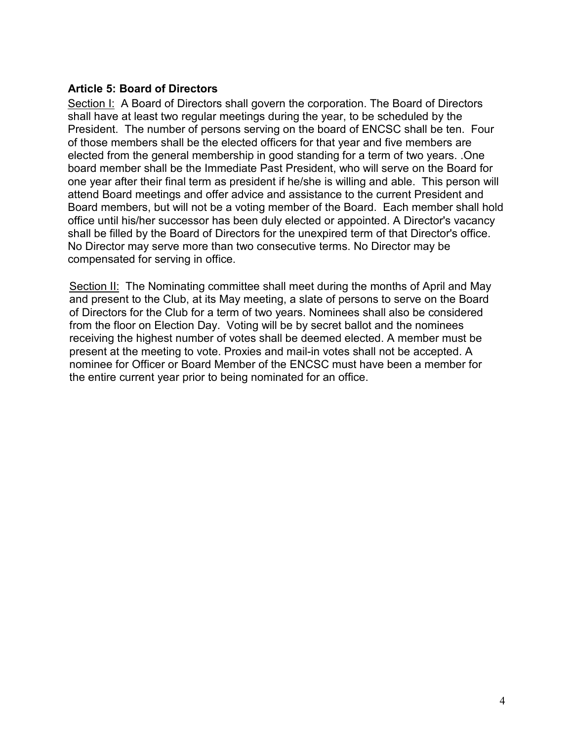## **Article 5: Board of Directors**

Section I: A Board of Directors shall govern the corporation. The Board of Directors shall have at least two regular meetings during the year, to be scheduled by the President. The number of persons serving on the board of ENCSC shall be ten. Four of those members shall be the elected officers for that year and five members are elected from the general membership in good standing for a term of two years. .One board member shall be the Immediate Past President, who will serve on the Board for one year after their final term as president if he/she is willing and able. This person will attend Board meetings and offer advice and assistance to the current President and Board members, but will not be a voting member of the Board. Each member shall hold office until his/her successor has been duly elected or appointed. A Director's vacancy shall be filled by the Board of Directors for the unexpired term of that Director's office. No Director may serve more than two consecutive terms. No Director may be compensated for serving in office.

Section II: The Nominating committee shall meet during the months of April and May and present to the Club, at its May meeting, a slate of persons to serve on the Board of Directors for the Club for a term of two years. Nominees shall also be considered from the floor on Election Day. Voting will be by secret ballot and the nominees receiving the highest number of votes shall be deemed elected. A member must be present at the meeting to vote. Proxies and mail-in votes shall not be accepted. A nominee for Officer or Board Member of the ENCSC must have been a member for the entire current year prior to being nominated for an office.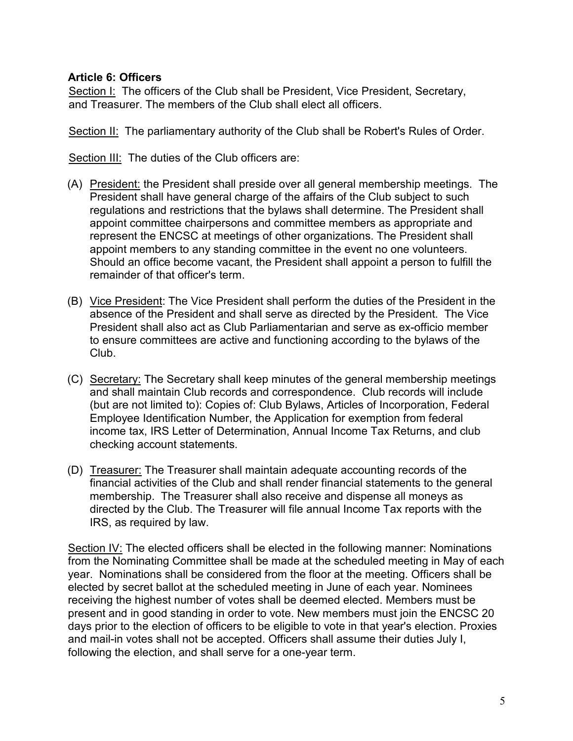## **Article 6: Officers**

Section I: The officers of the Club shall be President, Vice President, Secretary, and Treasurer. The members of the Club shall elect all officers.

Section II: The parliamentary authority of the Club shall be Robert's Rules of Order.

Section III: The duties of the Club officers are:

- (A) President: the President shall preside over all general membership meetings. The President shall have general charge of the affairs of the Club subject to such regulations and restrictions that the bylaws shall determine. The President shall appoint committee chairpersons and committee members as appropriate and represent the ENCSC at meetings of other organizations. The President shall appoint members to any standing committee in the event no one volunteers. Should an office become vacant, the President shall appoint a person to fulfill the remainder of that officer's term.
- (B) Vice President: The Vice President shall perform the duties of the President in the absence of the President and shall serve as directed by the President. The Vice President shall also act as Club Parliamentarian and serve as ex-officio member to ensure committees are active and functioning according to the bylaws of the Club.
- (C) Secretary: The Secretary shall keep minutes of the general membership meetings and shall maintain Club records and correspondence. Club records will include (but are not limited to): Copies of: Club Bylaws, Articles of Incorporation, Federal Employee Identification Number, the Application for exemption from federal income tax, IRS Letter of Determination, Annual Income Tax Returns, and club checking account statements.
- (D) Treasurer: The Treasurer shall maintain adequate accounting records of the financial activities of the Club and shall render financial statements to the general membership. The Treasurer shall also receive and dispense all moneys as directed by the Club. The Treasurer will file annual Income Tax reports with the IRS, as required by law.

Section IV: The elected officers shall be elected in the following manner: Nominations from the Nominating Committee shall be made at the scheduled meeting in May of each year. Nominations shall be considered from the floor at the meeting. Officers shall be elected by secret ballot at the scheduled meeting in June of each year. Nominees receiving the highest number of votes shall be deemed elected. Members must be present and in good standing in order to vote. New members must join the ENCSC 20 days prior to the election of officers to be eligible to vote in that year's election. Proxies and mail-in votes shall not be accepted. Officers shall assume their duties July I, following the election, and shall serve for a one-year term.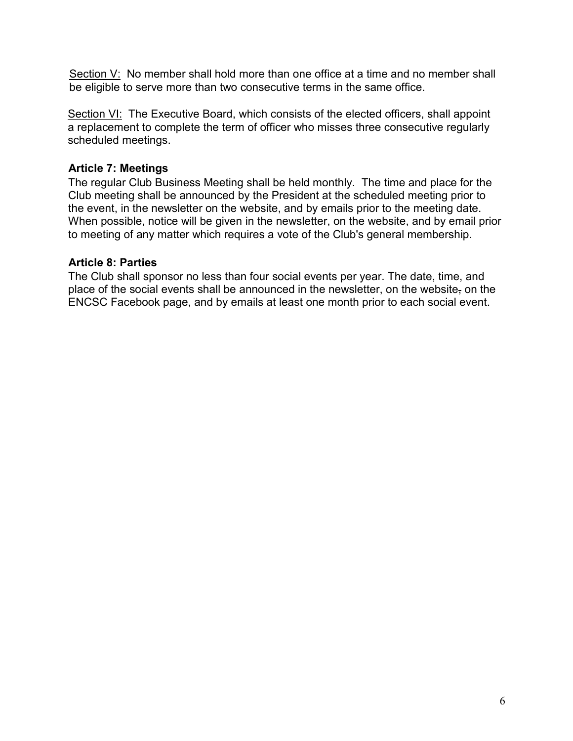Section V: No member shall hold more than one office at a time and no member shall be eligible to serve more than two consecutive terms in the same office.

Section VI: The Executive Board, which consists of the elected officers, shall appoint a replacement to complete the term of officer who misses three consecutive regularly scheduled meetings.

# **Article 7: Meetings**

The regular Club Business Meeting shall be held monthly. The time and place for the Club meeting shall be announced by the President at the scheduled meeting prior to the event, in the newsletter on the website, and by emails prior to the meeting date. When possible, notice will be given in the newsletter, on the website, and by email prior to meeting of any matter which requires a vote of the Club's general membership.

# **Article 8: Parties**

The Club shall sponsor no less than four social events per year. The date, time, and place of the social events shall be announced in the newsletter, on the website, on the ENCSC Facebook page, and by emails at least one month prior to each social event.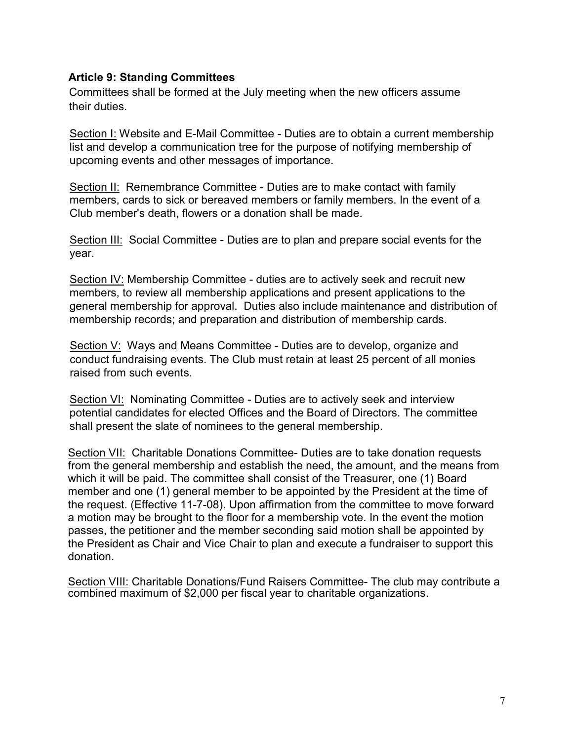### **Article 9: Standing Committees**

Committees shall be formed at the July meeting when the new officers assume their duties.

Section I: Website and E-Mail Committee - Duties are to obtain a current membership list and develop a communication tree for the purpose of notifying membership of upcoming events and other messages of importance.

Section II: Remembrance Committee - Duties are to make contact with family members, cards to sick or bereaved members or family members. In the event of a Club member's death, flowers or a donation shall be made.

Section III: Social Committee - Duties are to plan and prepare social events for the year.

Section IV: Membership Committee - duties are to actively seek and recruit new members, to review all membership applications and present applications to the general membership for approval. Duties also include maintenance and distribution of membership records; and preparation and distribution of membership cards.

Section V: Ways and Means Committee - Duties are to develop, organize and conduct fundraising events. The Club must retain at least 25 percent of all monies raised from such events.

Section VI: Nominating Committee - Duties are to actively seek and interview potential candidates for elected Offices and the Board of Directors. The committee shall present the slate of nominees to the general membership.

Section VII: Charitable Donations Committee- Duties are to take donation requests from the general membership and establish the need, the amount, and the means from which it will be paid. The committee shall consist of the Treasurer, one (1) Board member and one (1) general member to be appointed by the President at the time of the request. (Effective 11-7-08). Upon affirmation from the committee to move forward a motion may be brought to the floor for a membership vote. In the event the motion passes, the petitioner and the member seconding said motion shall be appointed by the President as Chair and Vice Chair to plan and execute a fundraiser to support this donation.

Section VIII: Charitable Donations/Fund Raisers Committee- The club may contribute a combined maximum of \$2,000 per fiscal year to charitable organizations.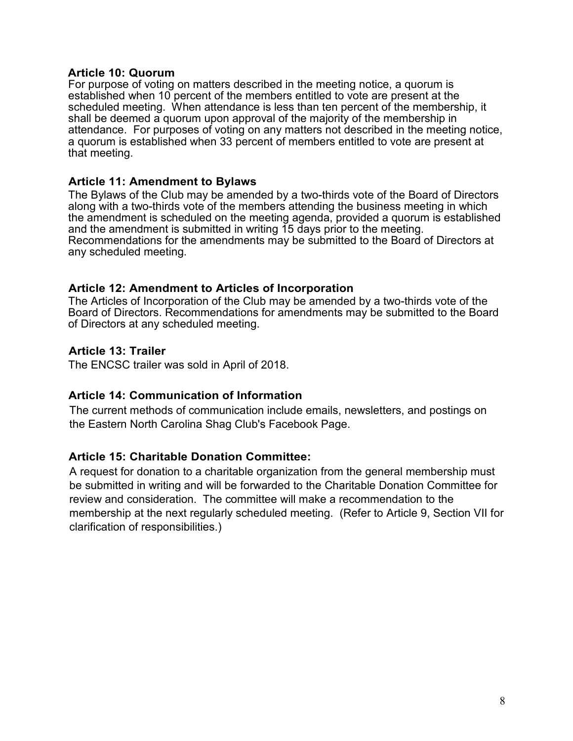#### **Article 10: Quorum**

For purpose of voting on matters described in the meeting notice, a quorum is established when 10 percent of the members entitled to vote are present at the scheduled meeting. When attendance is less than ten percent of the membership, it shall be deemed a quorum upon approval of the majority of the membership in attendance. For purposes of voting on any matters not described in the meeting notice, a quorum is established when 33 percent of members entitled to vote are present at that meeting.

#### **Article 11: Amendment to Bylaws**

The Bylaws of the Club may be amended by a two-thirds vote of the Board of Directors along with a two-thirds vote of the members attending the business meeting in which the amendment is scheduled on the meeting agenda, provided a quorum is established and the amendment is submitted in writing 15 days prior to the meeting. Recommendations for the amendments may be submitted to the Board of Directors at any scheduled meeting.

#### **Article 12: Amendment to Articles of Incorporation**

The Articles of Incorporation of the Club may be amended by a two-thirds vote of the Board of Directors. Recommendations for amendments may be submitted to the Board of Directors at any scheduled meeting.

## **Article 13: Trailer**

The ENCSC trailer was sold in April of 2018.

#### **Article 14: Communication of Information**

The current methods of communication include emails, newsletters, and postings on the Eastern North Carolina Shag Club's Facebook Page.

#### **Article 15: Charitable Donation Committee:**

A request for donation to a charitable organization from the general membership must be submitted in writing and will be forwarded to the Charitable Donation Committee for review and consideration. The committee will make a recommendation to the membership at the next regularly scheduled meeting. (Refer to Article 9, Section VII for clarification of responsibilities.)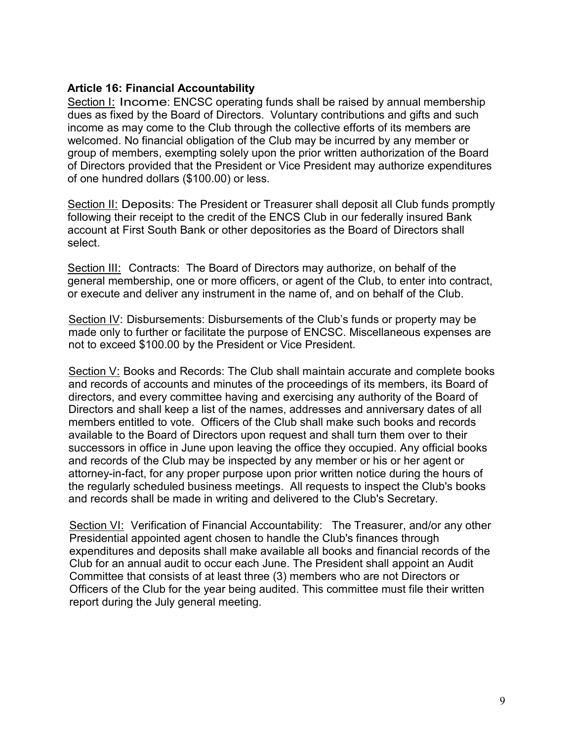### **Article 16: Financial Accountability**

Section I: Income: ENCSC operating funds shall be raised by annual membership dues as fixed by the Board of Directors. Voluntary contributions and gifts and such income as may come to the Club through the collective efforts of its members are welcomed. No financial obligation of the Club may be incurred by any member or group of members, exempting solely upon the prior written authorization of the Board of Directors provided that the President or Vice President may authorize expenditures of one hundred dollars (\$100.00) or less.

Section II: Deposits: The President or Treasurer shall deposit all Club funds promptly following their receipt to the credit of the ENCS Club in our federally insured Bank account at First South Bank or other depositories as the Board of Directors shall select.

Section III: Contracts: The Board of Directors may authorize, on behalf of the general membership, one or more officers, or agent of the Club, to enter into contract, or execute and deliver any instrument in the name of, and on behalf of the Club.

Section IV: Disbursements: Disbursements of the Club's funds or property may be made only to further or facilitate the purpose of ENCSC. Miscellaneous expenses are not to exceed \$100.00 by the President or Vice President.

Section V: Books and Records: The Club shall maintain accurate and complete books and records of accounts and minutes of the proceedings of its members, its Board of directors, and every committee having and exercising any authority of the Board of Directors and shall keep a list of the names, addresses and anniversary dates of all members entitled to vote. Officers of the Club shall make such books and records available to the Board of Directors upon request and shall turn them over to their successors in office in June upon leaving the office they occupied. Any official books and records of the Club may be inspected by any member or his or her agent or attorney-in-fact, for any proper purpose upon prior written notice during the hours of the regularly scheduled business meetings. All requests to inspect the Club's books and records shall be made in writing and delivered to the Club's Secretary.

Section VI: Verification of Financial Accountability: The Treasurer, and/or any other Presidential appointed agent chosen to handle the Club's finances through expenditures and deposits shall make available all books and financial records of the Club for an annual audit to occur each June. The President shall appoint an Audit Committee that consists of at least three (3) members who are not Directors or Officers of the Club for the year being audited. This committee must file their written report during the July general meeting.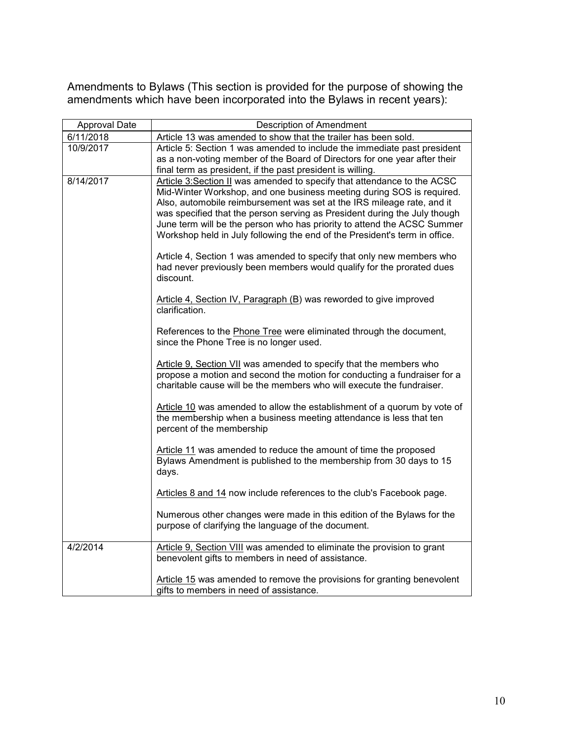Amendments to Bylaws (This section is provided for the purpose of showing the amendments which have been incorporated into the Bylaws in recent years):

| Approval Date | <b>Description of Amendment</b>                                                                                                                                                                                                                                                                                                                                                                                                                                                                                                                                                                                                                                                                                          |
|---------------|--------------------------------------------------------------------------------------------------------------------------------------------------------------------------------------------------------------------------------------------------------------------------------------------------------------------------------------------------------------------------------------------------------------------------------------------------------------------------------------------------------------------------------------------------------------------------------------------------------------------------------------------------------------------------------------------------------------------------|
| 6/11/2018     | Article 13 was amended to show that the trailer has been sold.                                                                                                                                                                                                                                                                                                                                                                                                                                                                                                                                                                                                                                                           |
| 10/9/2017     | Article 5: Section 1 was amended to include the immediate past president<br>as a non-voting member of the Board of Directors for one year after their<br>final term as president, if the past president is willing.                                                                                                                                                                                                                                                                                                                                                                                                                                                                                                      |
| 8/14/2017     | Article 3: Section II was amended to specify that attendance to the ACSC<br>Mid-Winter Workshop, and one business meeting during SOS is required.<br>Also, automobile reimbursement was set at the IRS mileage rate, and it<br>was specified that the person serving as President during the July though<br>June term will be the person who has priority to attend the ACSC Summer<br>Workshop held in July following the end of the President's term in office.<br>Article 4, Section 1 was amended to specify that only new members who<br>had never previously been members would qualify for the prorated dues<br>discount.<br>Article 4, Section IV, Paragraph (B) was reworded to give improved<br>clarification. |
|               | References to the Phone Tree were eliminated through the document,<br>since the Phone Tree is no longer used.                                                                                                                                                                                                                                                                                                                                                                                                                                                                                                                                                                                                            |
|               | Article 9, Section VII was amended to specify that the members who<br>propose a motion and second the motion for conducting a fundraiser for a<br>charitable cause will be the members who will execute the fundraiser.                                                                                                                                                                                                                                                                                                                                                                                                                                                                                                  |
|               | Article 10 was amended to allow the establishment of a quorum by vote of<br>the membership when a business meeting attendance is less that ten<br>percent of the membership                                                                                                                                                                                                                                                                                                                                                                                                                                                                                                                                              |
|               | Article 11 was amended to reduce the amount of time the proposed<br>Bylaws Amendment is published to the membership from 30 days to 15<br>days.                                                                                                                                                                                                                                                                                                                                                                                                                                                                                                                                                                          |
|               | Articles 8 and 14 now include references to the club's Facebook page.                                                                                                                                                                                                                                                                                                                                                                                                                                                                                                                                                                                                                                                    |
|               | Numerous other changes were made in this edition of the Bylaws for the<br>purpose of clarifying the language of the document.                                                                                                                                                                                                                                                                                                                                                                                                                                                                                                                                                                                            |
| 4/2/2014      | Article 9, Section VIII was amended to eliminate the provision to grant<br>benevolent gifts to members in need of assistance.                                                                                                                                                                                                                                                                                                                                                                                                                                                                                                                                                                                            |
|               | Article 15 was amended to remove the provisions for granting benevolent<br>gifts to members in need of assistance.                                                                                                                                                                                                                                                                                                                                                                                                                                                                                                                                                                                                       |